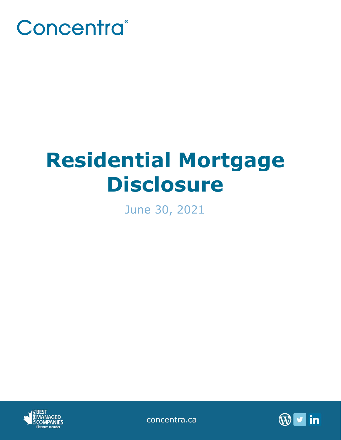

# **Residential Mortgage Disclosure**

June 30, 2021



concentra.ca

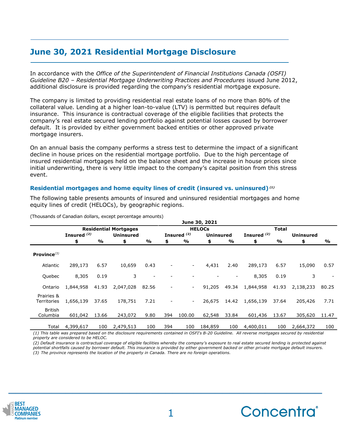# **June 30, 2021 Residential Mortgage Disclosure**

In accordance with the *Office of the Superintendent of Financial Institutions Canada (OSFI) Guideline B20 – Residential Mortgage Underwriting Practices and Procedures* issued June 2012, additional disclosure is provided regarding the company's residential mortgage exposure.

The company is limited to providing residential real estate loans of no more than 80% of the collateral value. Lending at a higher loan-to-value (LTV) is permitted but requires default insurance. This insurance is contractual coverage of the eligible facilities that protects the company's real estate secured lending portfolio against potential losses caused by borrower default. It is provided by either government backed entities or other approved private mortgage insurers.

On an annual basis the company performs a stress test to determine the impact of a significant decline in house prices on the residential mortgage portfolio. Due to the high percentage of insured residential mortgages held on the balance sheet and the increase in house prices since initial underwriting, there is very little impact to the company's capital position from this stress event.

## **Residential mortgages and home equity lines of credit (insured vs. uninsured)** *(1)*

The following table presents amounts of insured and uninsured residential mortgages and home equity lines of credit (HELOCs), by geographic regions.

|                            | June 30, 2021                |       |                  |                          |               |                        |                  |               |               |       |                  |       |
|----------------------------|------------------------------|-------|------------------|--------------------------|---------------|------------------------|------------------|---------------|---------------|-------|------------------|-------|
|                            | <b>Residential Mortgages</b> |       |                  |                          | <b>HELOCS</b> |                        |                  |               | <b>Total</b>  |       |                  |       |
|                            | Insured $(2)$                |       | <b>Uninsured</b> |                          |               | Insured <sup>(2)</sup> | <b>Uninsured</b> |               | Insured $(2)$ |       | <b>Uninsured</b> |       |
|                            | \$                           | %     | \$               | $\frac{0}{0}$            | \$            | %                      | \$               | $\frac{1}{2}$ | \$            | %     | \$               | %     |
| Province $(3)$             |                              |       |                  |                          |               |                        |                  |               |               |       |                  |       |
| Atlantic                   | 289,173                      | 6.57  | 10.659           | 0.43                     |               | $\sim$                 | 4,431            | 2.40          | 289,173       | 6.57  | 15,090           | 0.57  |
| Quebec                     | 8,305                        | 0.19  | 3                | $\overline{\phantom{a}}$ |               |                        |                  |               | 8,305         | 0.19  | 3                |       |
| Ontario                    | 1,844,958                    | 41.93 | 2,047,028        | 82.56                    |               | $\sim$                 | 91,205           | 49.34         | 1,844,958     | 41.93 | 2,138,233        | 80.25 |
| Prairies &<br>Territories  | 1,656,139                    | 37.65 | 178,751          | 7.21                     |               | $\blacksquare$         | 26,675           | 14.42         | 1,656,139     | 37.64 | 205,426          | 7.71  |
| <b>British</b><br>Columbia | 601,042                      | 13.66 | 243,072          | 9.80                     | 394           | 100.00                 | 62,548           | 33.84         | 601,436       | 13.67 | 305,620          | 11.47 |
| Total                      | 4,399,617                    | 100   | 2,479,513        | 100                      | 394           | 100                    | 184,859          | 100           | 4,400,011     | 100   | 2,664,372        | 100   |

(Thousands of Canadian dollars, except percentage amounts)

*(1) This table was prepared based on the disclosure requirements contained in OSFI's B-20 Guideline. All reverse mortgages secured by residential property are considered to be HELOC.*

*(2) Default insurance is contractual coverage of eligible facilities whereby the company's exposure to real estate secured lending is protected against potential shortfalls caused by borrower default. This insurance is provided by either government backed or other private mortgage default insurers. (3) The province represents the location of the property in Canada. There are no foreign operations.*



**\_\_\_\_\_\_\_\_\_\_\_\_\_\_\_\_\_\_\_\_\_\_\_\_\_\_\_\_\_\_\_\_\_\_\_\_\_\_\_\_\_\_\_\_**